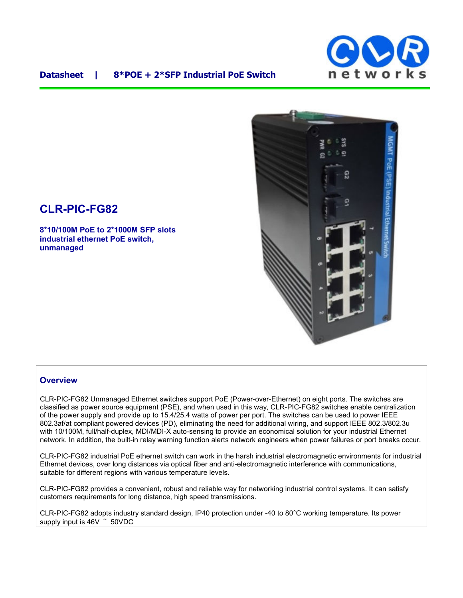

## **Datasheet | 8\*POE + 2\*SFP Industrial PoE Switch**



# **CLR-PIC-FG82**

**8\*10/100M PoE to 2\*1000M SFP slots industrial ethernet PoE switch, unmanaged** 

### **Overview**

CLR-PIC-FG82 Unmanaged Ethernet switches support PoE (Power-over-Ethernet) on eight ports. The switches are classified as power source equipment (PSE), and when used in this way, CLR-PIC-FG82 switches enable centralization of the power supply and provide up to 15.4/25.4 watts of power per port. The switches can be used to power IEEE 802.3af/at compliant powered devices (PD), eliminating the need for additional wiring, and support IEEE 802.3/802.3u with 10/100M, full/half-duplex, MDI/MDI-X auto-sensing to provide an economical solution for your industrial Ethernet network. In addition, the built-in relay warning function alerts network engineers when power failures or port breaks occur.

CLR-PIC-FG82 industrial PoE ethernet switch can work in the harsh industrial electromagnetic environments for industrial Ethernet devices, over long distances via optical fiber and anti-electromagnetic interference with communications, suitable for different regions with various temperature levels.

CLR-PIC-FG82 provides a convenient, robust and reliable way for networking industrial control systems. It can satisfy customers requirements for long distance, high speed transmissions.

CLR-PIC-FG82 adopts industry standard design, IP40 protection under -40 to 80°C working temperature. Its power supply input is 46V  $\degree$  50VDC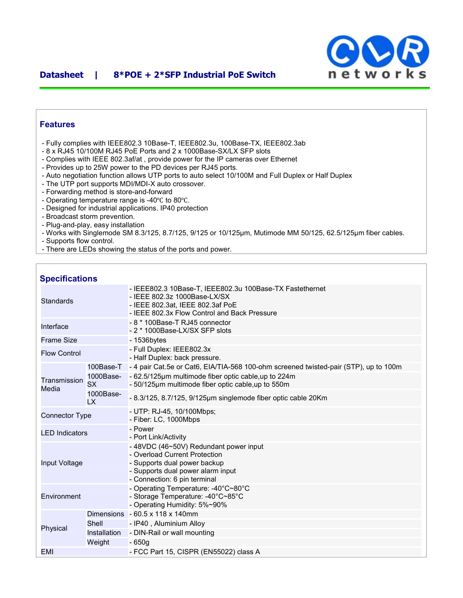

## **Features**

- Fully complies with IEEE802.3 10Base-T, IEEE802.3u, 100Base-TX, IEEE802.3ab
- 8 x RJ45 10/100M RJ45 PoE Ports and 2 x 1000Base-SX/LX SFP slots
- Complies with IEEE 802.3af/at , provide power for the IP cameras over Ethernet
- Provides up to 25W power to the PD devices per RJ45 ports.
- Auto negotiation function allows UTP ports to auto select 10/100M and Full Duplex or Half Duplex
- The UTP port supports MDI/MDI-X auto crossover.
- Forwarding method is store-and-forward
- Operating temperature range is -40℃ to 80℃.
- Designed for industrial applications. IP40 protection
- Broadcast storm prevention.
- Plug-and-play, easy installation
- Works with Singlemode SM 8.3/125, 8.7/125, 9/125 or 10/125μm, Mutimode MM 50/125, 62.5/125μm fiber cables.
- Supports flow control.
- There are LEDs showing the status of the ports and power.

#### **Specifications**

| <b>Standards</b>      |                        | - IEEE802.3 10Base-T, IEEE802.3u 100Base-TX Fastethernet<br>- IEEE 802.3z 1000Base-LX/SX<br>- IEEE 802.3at, IEEE 802.3af PoE<br>- IEEE 802.3x Flow Control and Back Pressure |
|-----------------------|------------------------|------------------------------------------------------------------------------------------------------------------------------------------------------------------------------|
| Interface             |                        | - 8 * 100Base-T RJ45 connector<br>- 2 * 1000Base-LX/SX SFP slots                                                                                                             |
| <b>Frame Size</b>     |                        | $-1536$ bytes                                                                                                                                                                |
| <b>Flow Control</b>   |                        | - Full Duplex: IEEE802.3x<br>- Half Duplex: back pressure.                                                                                                                   |
|                       | 100Base-T              | - 4 pair Cat.5e or Cat6, EIA/TIA-568 100-ohm screened twisted-pair (STP), up to 100m                                                                                         |
| Transmission<br>Media | 1000Base-<br><b>SX</b> | - 62.5/125µm multimode fiber optic cable, up to 224m<br>- 50/125µm multimode fiber optic cable, up to 550m                                                                   |
|                       | 1000Base-<br>LX        | - 8.3/125, 8.7/125, 9/125µm singlemode fiber optic cable 20Km                                                                                                                |
| <b>Connector Type</b> |                        | - UTP: RJ-45, 10/100Mbps;<br>- Fiber: LC, 1000Mbps                                                                                                                           |
| <b>LED</b> Indicators |                        | - Power<br>- Port Link/Activity                                                                                                                                              |
| Input Voltage         |                        | - 48VDC (46~50V) Redundant power input<br>- Overload Current Protection<br>- Supports dual power backup<br>- Supports dual power alarm input<br>- Connection: 6 pin terminal |
| Environment           |                        | - Operating Temperature: -40°C~80°C<br>- Storage Temperature: -40°C~85°C<br>- Operating Humidity: 5%~90%                                                                     |
| Physical              | Dimensions             | $-60.5 \times 118 \times 140$ mm                                                                                                                                             |
|                       | Shell                  | - IP40, Aluminium Alloy                                                                                                                                                      |
|                       | Installation           | - DIN-Rail or wall mounting                                                                                                                                                  |
|                       | Weight                 | - 650a                                                                                                                                                                       |
| EMI                   |                        | - FCC Part 15, CISPR (EN55022) class A                                                                                                                                       |